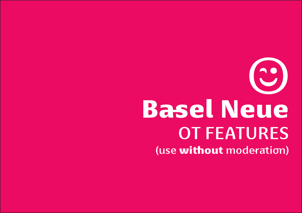# Basel Neue OT FEATURES (use without moderation) ;-)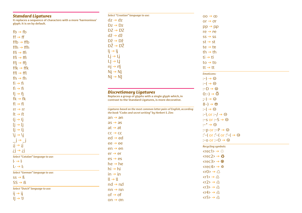| <b>Standard Ligatures</b><br>It replaces a sequence of characters with a more 'harmonious' | Select "Croatian" language to use:<br>$dz \rightarrow dz$                                                           | $00 \rightarrow \infty$                                                        |
|--------------------------------------------------------------------------------------------|---------------------------------------------------------------------------------------------------------------------|--------------------------------------------------------------------------------|
| glyph. It is on by default.                                                                | $Dz \rightarrow Dz$                                                                                                 | or $\rightarrow$ or                                                            |
|                                                                                            | $DZ \rightarrow DZ$                                                                                                 | $pp \rightarrow pp$                                                            |
| $fb \rightarrow fb$                                                                        | $d\check{z} \rightarrow d\check{z}$                                                                                 | $re \rightarrow re$                                                            |
| $\mathsf{ff} \rightarrow \mathsf{ff}$                                                      |                                                                                                                     | $SS \rightarrow SS$                                                            |
| $ffb \rightarrow ffb$                                                                      | $D\check{z} \rightarrow D\check{z}$                                                                                 | $st \rightarrow st$                                                            |
| ffh $\rightarrow$ ffh                                                                      | $D\check{Z} \rightarrow D\check{Z}$                                                                                 | te $\rightarrow$ te                                                            |
| $ffi \rightarrow ffi$                                                                      | $ij \rightarrow ij$                                                                                                 | th $\rightarrow$ th                                                            |
| $f \hat{\Pi} \rightarrow f \hat{\Pi}$                                                      | $Li \rightarrow Li$                                                                                                 | $ti \rightarrow ti$                                                            |
| $\mathsf{ff} \rightarrow \mathsf{ff}$                                                      | $ L  \rightarrow  L $                                                                                               | to $\rightarrow$ to                                                            |
| $ffk \rightarrow ffk$                                                                      | $\eta$ $\rightarrow$ $\eta$                                                                                         | tt $\rightarrow$ tt                                                            |
| $\mathsf{ffl} \rightarrow \mathsf{ffl}$                                                    | $Ni \rightarrow Ni$                                                                                                 | <b>Emoticons:</b>                                                              |
| fh $\rightarrow$ fh                                                                        | $N \rightarrow N$                                                                                                   | $(-) \rightarrow \textcircled{e}$                                              |
| $fi \rightarrow fi$                                                                        |                                                                                                                     | $: \Theta$                                                                     |
| $fi \rightarrow fi$                                                                        |                                                                                                                     | $: -D \rightarrow \circledcirc$                                                |
| $fi \rightarrow fi$                                                                        | <b>Discretionary Ligatures</b>                                                                                      | $0:-) \rightarrow ③$                                                           |
| $fk \rightarrow fk$                                                                        | Replaces a group of glyphs with a single glyph which, in<br>contrast to the Standard Ligatures, is more decorative. | $(-) \rightarrow \circledcirc$                                                 |
| $fl \rightarrow fl$                                                                        |                                                                                                                     | $8-$ ) $\rightarrow$ $\circledcirc$                                            |
| $rr \rightarrow rr$                                                                        | Ligatures based on the most common letter pairs of English, according                                               | $ \neg  \rightarrow \textcircled{e}$                                           |
| $ft \rightarrow ft$                                                                        | the book "Codes and secret writing" by Herbert S. Zim:                                                              | :-\or :- $\rightarrow \circ$                                                   |
| $(i \rightarrow i)$                                                                        | $an \rightarrow an$                                                                                                 | :-s or :-S $\rightarrow \circledcirc$                                          |
| $[i \rightarrow i]$                                                                        | $as \rightarrow as$                                                                                                 | $:$ $\rightarrow$ $\odot$                                                      |
| $\{j \rightarrow \{j\}$                                                                    | at $\rightarrow$ at                                                                                                 | :-p or :-P $\rightarrow$ $\circledcirc$                                        |
| $\iota$ $\rightarrow$ $\iota$                                                              | $CC \rightarrow CC$                                                                                                 | :'-( or :'-( or :'-( $\Rightarrow$ $\circledcirc$                              |
| $j \rightarrow j$                                                                          | $ed \rightarrow ed$                                                                                                 | :-o or :- $0 \rightarrow \circledcirc$                                         |
| $i \rightarrow i$                                                                          | $ee \rightarrow ee$                                                                                                 |                                                                                |
| $i \rightarrow i$ j                                                                        | $en \rightarrow en$                                                                                                 | <b>Recycling symbols:</b><br>$\text{tree1} > \text{ } \textcircled{\tiny{\#}}$ |
| Select "Catalan" language to use:                                                          | $er \rightarrow er$                                                                                                 | $\langle$ rec2> $\rightarrow$ $\bullet$                                        |
| $ \cdot \rightarrow  $                                                                     | $es \rightarrow es$                                                                                                 | $\langle rec3 \rangle \rightarrow \circledast$                                 |
| $L \rightarrow L$                                                                          | $he \rightarrow he$                                                                                                 | $\text{tree4} > \rightarrow \textcircled{3}$                                   |
|                                                                                            | $hi \rightarrow hi$                                                                                                 |                                                                                |
| Select "German" language to use:                                                           | $in \rightarrow in$                                                                                                 | $\langle r0 \rangle \rightarrow \Diamond$                                      |
| $SS \rightarrow \beta$                                                                     | $ll \rightarrow ll$                                                                                                 | $\langle r1\rangle \rightarrow \hat{\varphi}$                                  |
| $SS \rightarrow B$                                                                         | $nd \rightarrow nd$                                                                                                 | $\langle r2\rangle \rightarrow \hat{c}_3$                                      |
| Select "Dutch" language to use:                                                            | $nn \rightarrow nn$                                                                                                 | $\langle r3\rangle \rightarrow \hat{\mathfrak{B}}$                             |
| $ii \rightarrow ii$                                                                        | $of \rightarrow of$                                                                                                 | $\langle r4 \rangle \rightarrow \mathcal{L}$                                   |
| $   \rightarrow 0$                                                                         | on $\rightarrow$ on                                                                                                 | $\langle r5 \rangle \rightarrow \textcircled{\scriptsize{i}}$                  |